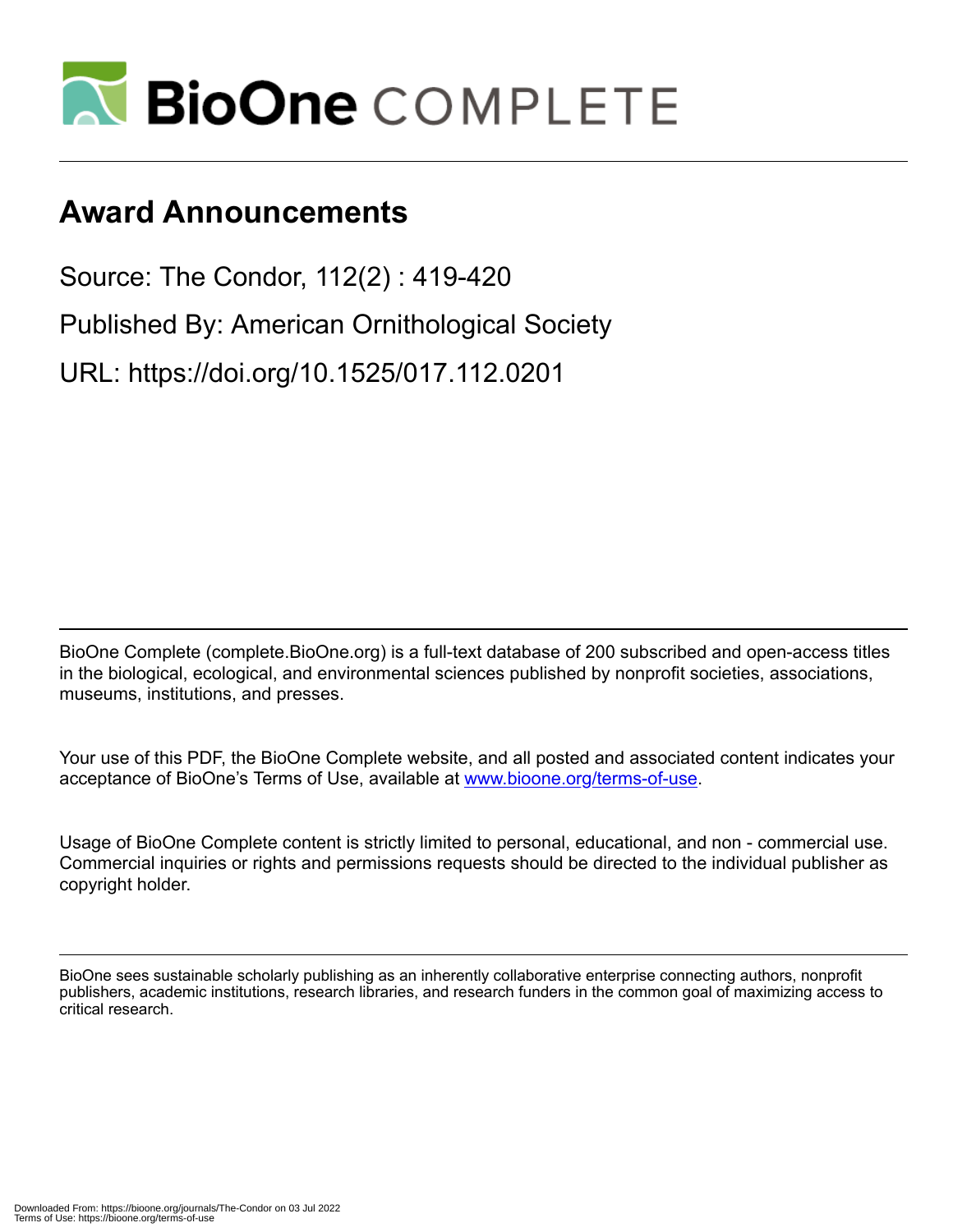

## **Award Announcements**

Source: The Condor, 112(2) : 419-420 Published By: American Ornithological Society URL: https://doi.org/10.1525/017.112.0201

BioOne Complete (complete.BioOne.org) is a full-text database of 200 subscribed and open-access titles in the biological, ecological, and environmental sciences published by nonprofit societies, associations, museums, institutions, and presses.

Your use of this PDF, the BioOne Complete website, and all posted and associated content indicates your acceptance of BioOne's Terms of Use, available at www.bioone.org/terms-of-use.

Usage of BioOne Complete content is strictly limited to personal, educational, and non - commercial use. Commercial inquiries or rights and permissions requests should be directed to the individual publisher as copyright holder.

BioOne sees sustainable scholarly publishing as an inherently collaborative enterprise connecting authors, nonprofit publishers, academic institutions, research libraries, and research funders in the common goal of maximizing access to critical research.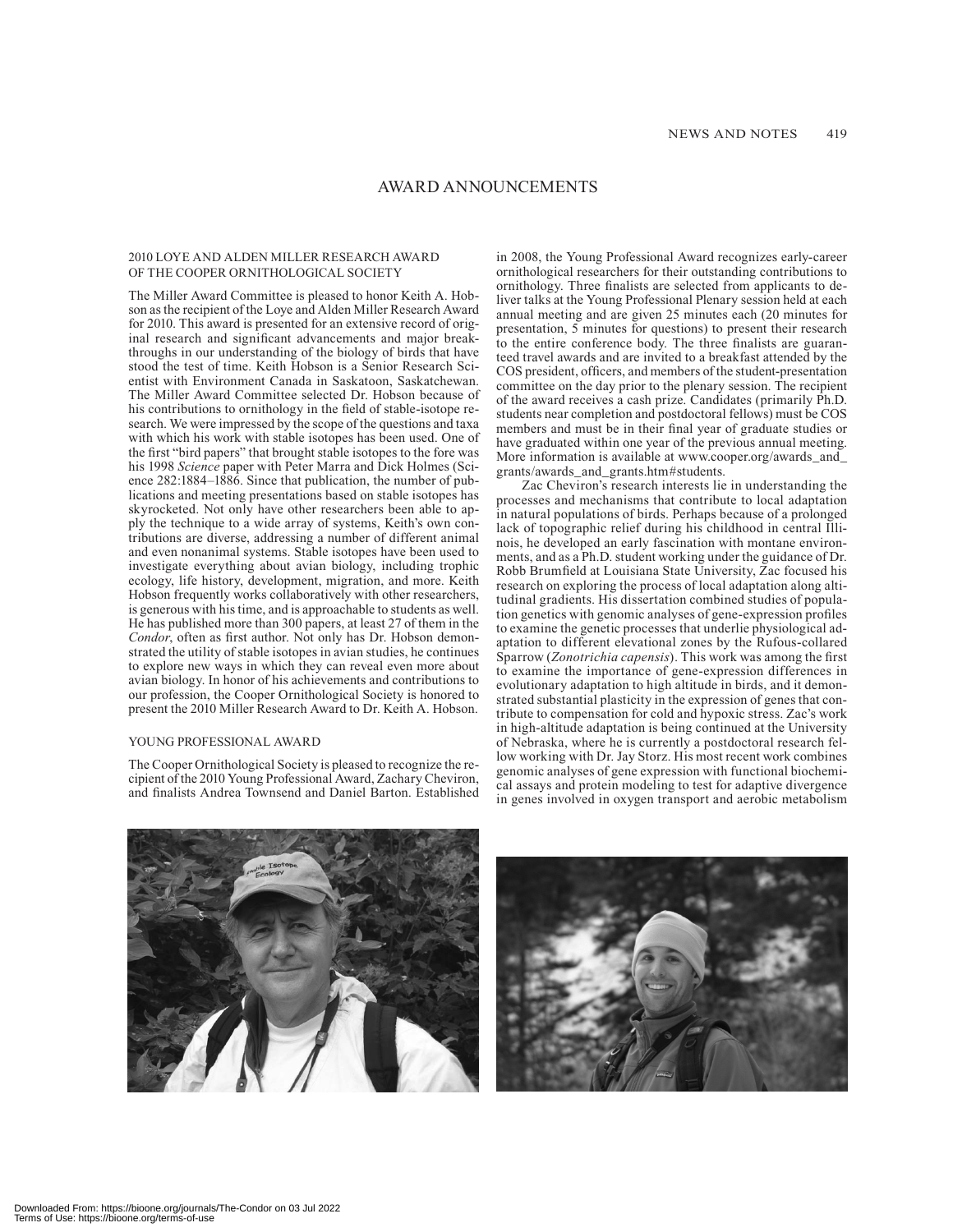## AWARD ANNOUNCEMENTS

## 2010 LOYE AND ALDEN MILLER RESEARCH AWARD OF THE COOPER ORNITHOLOGICAL SOCIETY

The Miller Award Committee is pleased to honor Keith A. Hobson as the recipient of the Loye and Alden Miller Research Award for 2010. This award is presented for an extensive record of original research and significant advancements and major breakthroughs in our understanding of the biology of birds that have stood the test of time. Keith Hobson is a Senior Research Scientist with Environment Canada in Saskatoon, Saskatchewan. The Miller Award Committee selected Dr. Hobson because of his contributions to ornithology in the field of stable-isotope research. We were impressed by the scope of the questions and taxa with which his work with stable isotopes has been used. One of the first "bird papers" that brought stable isotopes to the fore was his 1998 *Science* paper with Peter Marra and Dick Holmes (Science 282:1884–1886. Since that publication, the number of publications and meeting presentations based on stable isotopes has skyrocketed. Not only have other researchers been able to apply the technique to a wide array of systems, Keith's own contributions are diverse, addressing a number of different animal and even nonanimal systems. Stable isotopes have been used to investigate everything about avian biology, including trophic ecology, life history, development, migration, and more. Keith Hobson frequently works collaboratively with other researchers, is generous with his time, and is approachable to students as well. He has published more than 300 papers, at least 27 of them in the *Condor*, often as first author. Not only has Dr. Hobson demonstrated the utility of stable isotopes in avian studies, he continues to explore new ways in which they can reveal even more about avian biology. In honor of his achievements and contributions to our profession, the Cooper Ornithological Society is honored to present the 2010 Miller Research Award to Dr. Keith A. Hobson.

## YOUNG PROFESSIONAL AWARD

The Cooper Ornithological Society is pleased to recognize the recipient of the 2010 Young Professional Award, Zachary Cheviron, and finalists Andrea Townsend and Daniel Barton. Established in 2008, the Young Professional Award recognizes early-career ornithological researchers for their outstanding contributions to ornithology. Three finalists are selected from applicants to deliver talks at the Young Professional Plenary session held at each annual meeting and are given 25 minutes each (20 minutes for presentation, 5 minutes for questions) to present their research to the entire conference body. The three finalists are guaranteed travel awards and are invited to a breakfast attended by the COS president, officers, and members of the student-presentation committee on the day prior to the plenary session. The recipient of the award receives a cash prize. Candidates (primarily Ph.D. students near completion and postdoctoral fellows) must be COS members and must be in their final year of graduate studies or have graduated within one year of the previous annual meeting. More information is available at www.cooper.org/awards\_and\_ grants/awards\_and\_grants.htm#students.

Zac Cheviron's research interests lie in understanding the processes and mechanisms that contribute to local adaptation in natural populations of birds. Perhaps because of a prolonged lack of topographic relief during his childhood in central Illinois, he developed an early fascination with montane environments, and as a Ph.D. student working under the guidance of Dr. Robb Brumfield at Louisiana State University, Zac focused his research on exploring the process of local adaptation along altitudinal gradients. His dissertation combined studies of population genetics with genomic analyses of gene-expression profiles to examine the genetic processes that underlie physiological adaptation to different elevational zones by the Rufous-collared Sparrow (*Zonotrichia capensis*). This work was among the first to examine the importance of gene-expression differences in evolutionary adaptation to high altitude in birds, and it demonstrated substantial plasticity in the expression of genes that contribute to compensation for cold and hypoxic stress. Zac's work in high-altitude adaptation is being continued at the University of Nebraska, where he is currently a postdoctoral research fellow working with Dr. Jay Storz. His most recent work combines genomic analyses of gene expression with functional biochemical assays and protein modeling to test for adaptive divergence in genes involved in oxygen transport and aerobic metabolism